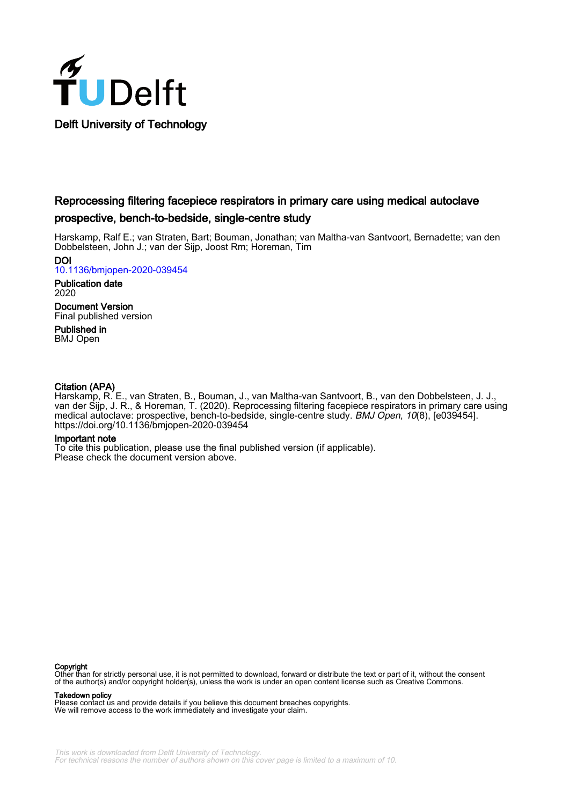

## Reprocessing filtering facepiece respirators in primary care using medical autoclave prospective, bench-to-bedside, single-centre study

Harskamp, Ralf E.; van Straten, Bart; Bouman, Jonathan; van Maltha-van Santvoort, Bernadette; van den Dobbelsteen, John J.; van der Sijp, Joost Rm; Horeman, Tim

DOI [10.1136/bmjopen-2020-039454](https://doi.org/10.1136/bmjopen-2020-039454)

Publication date 2020

Document Version Final published version

Published in BMJ Open

## Citation (APA)

Harskamp, R. E., van Straten, B., Bouman, J., van Maltha-van Santvoort, B., van den Dobbelsteen, J. J., van der Sijp, J. R., & Horeman, T. (2020). Reprocessing filtering facepiece respirators in primary care using medical autoclave: prospective, bench-to-bedside, single-centre study. BMJ Open, 10(8), [e039454]. <https://doi.org/10.1136/bmjopen-2020-039454>

#### Important note

To cite this publication, please use the final published version (if applicable). Please check the document version above.

#### Copyright

Other than for strictly personal use, it is not permitted to download, forward or distribute the text or part of it, without the consent of the author(s) and/or copyright holder(s), unless the work is under an open content license such as Creative Commons.

#### Takedown policy

Please contact us and provide details if you believe this document breaches copyrights. We will remove access to the work immediately and investigate your claim.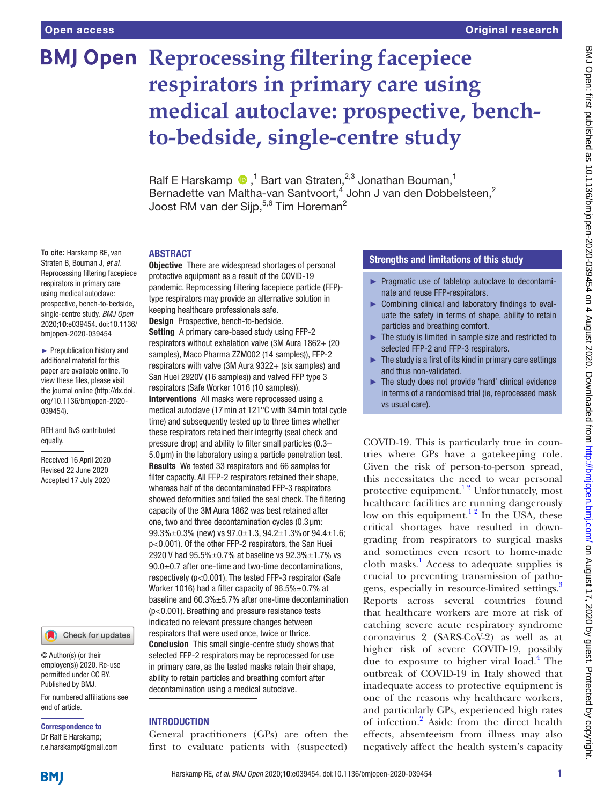**To cite:** Harskamp RE, van Straten B, Bouman J, *et al*. Reprocessing filtering facepiece respirators in primary care using medical autoclave: prospective, bench-to-bedside, single-centre study. *BMJ Open* 2020;10:e039454. doi:10.1136/ bmjopen-2020-039454 ► Prepublication history and additional material for this paper are available online. To view these files, please visit the journal online (http://dx.doi. org/10.1136/bmjopen-2020-

039454).

equally.

REH and BvS contributed

Received 16 April 2020 Revised 22 June 2020 Accepted 17 July 2020

# **BMJ Open Reprocessing filtering facepiece respirators in primary care using medical autoclave: prospective, benchto-bedside, single-centre study**

RalfE Harskamp  $\bigcirc$ ,<sup>1</sup> Bart van Straten,<sup>2,3</sup> Jonathan Bouman,<sup>1</sup> Bernadette van Maltha-van Santvoort, $4$  John J van den Dobbelsteen, $^{2}$ Joost RM van der Sijp,<sup>5,6</sup> Tim Horeman<sup>2</sup>

## **ARSTRACT**

**Objective** There are widespread shortages of personal protective equipment as a result of the COVID-19 pandemic. Reprocessing filtering facepiece particle (FFP) type respirators may provide an alternative solution in keeping healthcare professionals safe.

Design Prospective, bench-to-bedside. Setting A primary care-based study using FFP-2 respirators without exhalation valve (3M Aura 1862+ (20 samples), Maco Pharma ZZM002 (14 samples)), FFP-2 respirators with valve (3M Aura 9322+ (six samples) and San Huei 2920V (16 samples)) and valved FFP type 3 respirators (Safe Worker 1016 (10 samples)).

Interventions All masks were reprocessed using a medical autoclave (17min at 121°C with 34min total cycle time) and subsequently tested up to three times whether these respirators retained their integrity (seal check and pressure drop) and ability to filter small particles (0.3–  $5.0 \,\mu$ m) in the laboratory using a particle penetration test. Results We tested 33 respirators and 66 samples for filter capacity. All FFP-2 respirators retained their shape, whereas half of the decontaminated FFP-3 respirators showed deformities and failed the seal check. The filtering capacity of the 3M Aura 1862 was best retained after one, two and three decontamination cycles (0.3 µm: 99.3% $\pm$ 0.3% (new) vs 97.0 $\pm$ 1.3, 94.2 $\pm$ 1.3% or 94.4 $\pm$ 1.6; p<0.001). Of the other FFP-2 respirators, the San Huei 2920 V had 95.5%±0.7% at baseline vs 92.3%±1.7% vs 90.0±0.7 after one-time and two-time decontaminations, respectively (p<0.001). The tested FFP-3 respirator (Safe Worker 1016) had a filter capacity of 96.5%±0.7% at baseline and 60.3%±5.7% after one-time decontamination (p<0.001). Breathing and pressure resistance tests indicated no relevant pressure changes between respirators that were used once, twice or thrice. Conclusion This small single-centre study shows that selected FFP-2 respirators may be reprocessed for use in primary care, as the tested masks retain their shape, ability to retain particles and breathing comfort after decontamination using a medical autoclave.

## **INTRODUCTION**

General practitioners (GPs) are often the first to evaluate patients with (suspected)

#### Strengths and limitations of this study

- ► Pragmatic use of tabletop autoclave to decontaminate and reuse FFP-respirators.
- ► Combining clinical and laboratory findings to evaluate the safety in terms of shape, ability to retain particles and breathing comfort.
- ► The study is limited in sample size and restricted to selected FFP-2 and FFP-3 respirators.
- The study is a first of its kind in primary care settings and thus non-validated.
- ► The study does not provide 'hard' clinical evidence in terms of a randomised trial (ie, reprocessed mask vs usual care).

COVID-19. This is particularly true in countries where GPs have a gatekeeping role. Given the risk of person-to-person spread, this necessitates the need to wear personal protective equipment.<sup>12</sup> Unfortunately, most healthcare facilities are running dangerously low on this equipment.<sup>12</sup> In the USA, these critical shortages have resulted in downgrading from respirators to surgical masks and sometimes even resort to home-made cloth masks.<sup>[1](#page-6-0)</sup> Access to adequate supplies is crucial to preventing transmission of pathogens, especially in resource-limited settings.<sup>3</sup> Reports across several countries found that healthcare workers are more at risk of catching severe acute respiratory syndrome coronavirus 2 (SARS-CoV-2) as well as at higher risk of severe COVID-19, possibly due to exposure to higher viral load.<sup>4</sup> The outbreak of COVID-19 in Italy showed that inadequate access to protective equipment is one of the reasons why healthcare workers, and particularly GPs, experienced high rates of infection.<sup>[2](#page-6-3)</sup> Aside from the direct health effects, absenteeism from illness may also negatively affect the health system's capacity

**BMI** 

end of article.

Correspondence to Dr Ralf E Harskamp; r.e.harskamp@gmail.com

© Author(s) (or their employer(s)) 2020. Re-use permitted under CC BY. Published by BMJ.

For numbered affiliations see

Check for updates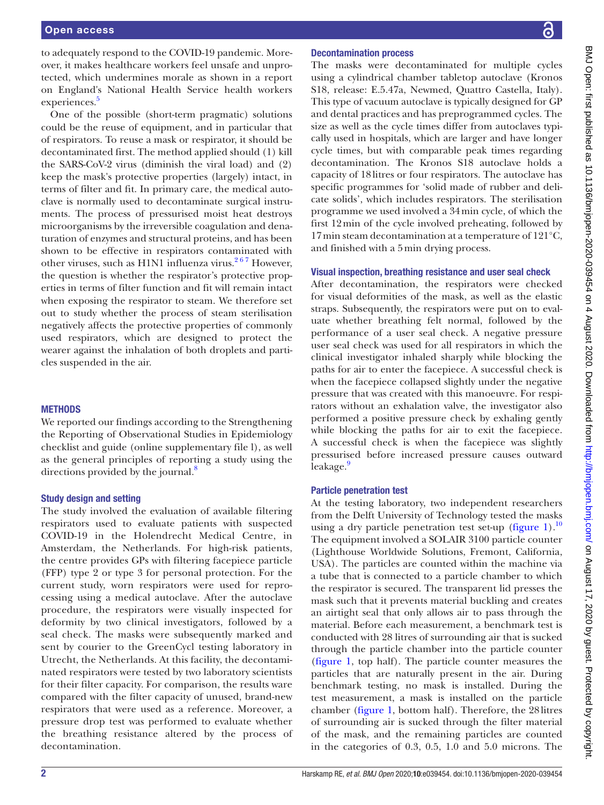to adequately respond to the COVID-19 pandemic. Moreover, it makes healthcare workers feel unsafe and unprotected, which undermines morale as shown in a report on England's National Health Service health workers experiences.<sup>5</sup>

One of the possible (short-term pragmatic) solutions could be the reuse of equipment, and in particular that of respirators. To reuse a mask or respirator, it should be decontaminated first. The method applied should (1) kill the SARS-CoV-2 virus (diminish the viral load) and (2) keep the mask's protective properties (largely) intact, in terms of filter and fit. In primary care, the medical autoclave is normally used to decontaminate surgical instruments. The process of pressurised moist heat destroys microorganisms by the irreversible coagulation and denaturation of enzymes and structural proteins, and has been shown to be effective in respirators contaminated with other viruses, such as H1N1 influenza virus. $267$  However, the question is whether the respirator's protective properties in terms of filter function and fit will remain intact when exposing the respirator to steam. We therefore set out to study whether the process of steam sterilisation negatively affects the protective properties of commonly used respirators, which are designed to protect the wearer against the inhalation of both droplets and particles suspended in the air.

## **METHODS**

We reported our findings according to the Strengthening the Reporting of Observational Studies in Epidemiology checklist and guide [\(online supplementary file l](https://dx.doi.org/10.1136/bmjopen-2020-039454)), as well as the general principles of reporting a study using the directions provided by the journal.<sup>8</sup>

#### Study design and setting

The study involved the evaluation of available filtering respirators used to evaluate patients with suspected COVID-19 in the Holendrecht Medical Centre, in Amsterdam, the Netherlands. For high-risk patients, the centre provides GPs with filtering facepiece particle (FFP) type 2 or type 3 for personal protection. For the current study, worn respirators were used for reprocessing using a medical autoclave. After the autoclave procedure, the respirators were visually inspected for deformity by two clinical investigators, followed by a seal check. The masks were subsequently marked and sent by courier to the GreenCycl testing laboratory in Utrecht, the Netherlands. At this facility, the decontaminated respirators were tested by two laboratory scientists for their filter capacity. For comparison, the results ware compared with the filter capacity of unused, brand-new respirators that were used as a reference. Moreover, a pressure drop test was performed to evaluate whether the breathing resistance altered by the process of decontamination.

#### Decontamination process

The masks were decontaminated for multiple cycles using a cylindrical chamber tabletop autoclave (Kronos S18, release: E.5.47a, Newmed, Quattro Castella, Italy). This type of vacuum autoclave is typically designed for GP and dental practices and has preprogrammed cycles. The size as well as the cycle times differ from autoclaves typically used in hospitals, which are larger and have longer cycle times, but with comparable peak times regarding decontamination. The Kronos S18 autoclave holds a capacity of 18litres or four respirators. The autoclave has specific programmes for 'solid made of rubber and delicate solids', which includes respirators. The sterilisation programme we used involved a 34min cycle, of which the first 12min of the cycle involved preheating, followed by 17min steam decontamination at a temperature of 121°C, and finished with a 5min drying process.

#### Visual inspection, breathing resistance and user seal check

After decontamination, the respirators were checked for visual deformities of the mask, as well as the elastic straps. Subsequently, the respirators were put on to evaluate whether breathing felt normal, followed by the performance of a user seal check. A negative pressure user seal check was used for all respirators in which the clinical investigator inhaled sharply while blocking the paths for air to enter the facepiece. A successful check is when the facepiece collapsed slightly under the negative pressure that was created with this manoeuvre. For respirators without an exhalation valve, the investigator also performed a positive pressure check by exhaling gently while blocking the paths for air to exit the facepiece. A successful check is when the facepiece was slightly pressurised before increased pressure causes outward leakage.<sup>9</sup>

#### Particle penetration test

At the testing laboratory, two independent researchers from the Delft University of Technology tested the masks using a dry particle penetration test set-up ([figure](#page-3-0) 1).<sup>[10](#page-6-7)</sup> The equipment involved a SOLAIR 3100 particle counter (Lighthouse Worldwide Solutions, Fremont, California, USA). The particles are counted within the machine via a tube that is connected to a particle chamber to which the respirator is secured. The transparent lid presses the mask such that it prevents material buckling and creates an airtight seal that only allows air to pass through the material. Before each measurement, a benchmark test is conducted with 28 litres of surrounding air that is sucked through the particle chamber into the particle counter [\(figure](#page-3-0) 1, top half). The particle counter measures the particles that are naturally present in the air. During benchmark testing, no mask is installed. During the test measurement, a mask is installed on the particle chamber ([figure](#page-3-0) 1, bottom half). Therefore, the 28litres of surrounding air is sucked through the filter material of the mask, and the remaining particles are counted in the categories of 0.3, 0.5, 1.0 and 5.0 microns. The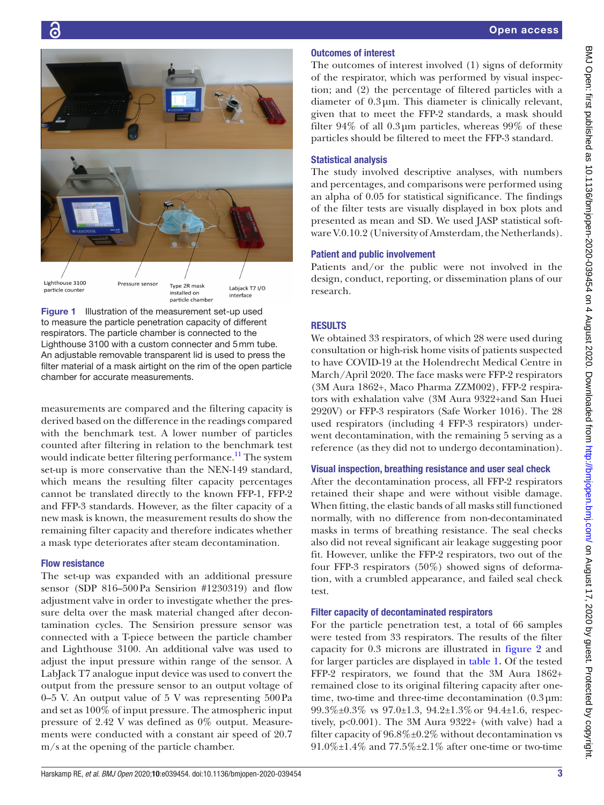

Figure 1 Illustration of the measurement set-up used to measure the particle penetration capacity of different respirators. The particle chamber is connected to the Lighthouse 3100 with a custom connecter and 5mm tube. An adjustable removable transparent lid is used to press the filter material of a mask airtight on the rim of the open particle chamber for accurate measurements.

<span id="page-3-0"></span>measurements are compared and the filtering capacity is derived based on the difference in the readings compared with the benchmark test. A lower number of particles counted after filtering in relation to the benchmark test would indicate better filtering performance.<sup>11</sup> The system set-up is more conservative than the NEN-149 standard, which means the resulting filter capacity percentages cannot be translated directly to the known FFP-1, FFP-2 and FFP-3 standards. However, as the filter capacity of a new mask is known, the measurement results do show the remaining filter capacity and therefore indicates whether a mask type deteriorates after steam decontamination.

## Flow resistance

The set-up was expanded with an additional pressure sensor (SDP 816–500Pa Sensirion #1230319) and flow adjustment valve in order to investigate whether the pressure delta over the mask material changed after decontamination cycles. The Sensirion pressure sensor was connected with a T-piece between the particle chamber and Lighthouse 3100. An additional valve was used to adjust the input pressure within range of the sensor. A LabJack T7 analogue input device was used to convert the output from the pressure sensor to an output voltage of 0–5 V. An output value of 5 V was representing 500Pa and set as 100% of input pressure. The atmospheric input pressure of 2.42 V was defined as 0% output. Measurements were conducted with a constant air speed of 20.7 m/s at the opening of the particle chamber.

## Outcomes of interest

The outcomes of interest involved (1) signs of deformity of the respirator, which was performed by visual inspection; and (2) the percentage of filtered particles with a diameter of 0.3µm. This diameter is clinically relevant, given that to meet the FFP-2 standards, a mask should filter 94% of all 0.3µm particles, whereas 99% of these particles should be filtered to meet the FFP-3 standard.

## Statistical analysis

The study involved descriptive analyses, with numbers and percentages, and comparisons were performed using an alpha of 0.05 for statistical significance. The findings of the filter tests are visually displayed in box plots and presented as mean and SD. We used JASP statistical software V.0.10.2 (University of Amsterdam, the Netherlands).

## Patient and public involvement

Patients and/or the public were not involved in the design, conduct, reporting, or dissemination plans of our research.

## **RESULTS**

We obtained 33 respirators, of which 28 were used during consultation or high-risk home visits of patients suspected to have COVID-19 at the Holendrecht Medical Centre in March/April 2020. The face masks were FFP-2 respirators (3M Aura 1862+, Maco Pharma ZZM002), FFP-2 respirators with exhalation valve (3M Aura 9322+and San Huei 2920V) or FFP-3 respirators (Safe Worker 1016). The 28 used respirators (including 4 FFP-3 respirators) underwent decontamination, with the remaining 5 serving as a reference (as they did not to undergo decontamination).

## Visual inspection, breathing resistance and user seal check

After the decontamination process, all FFP-2 respirators retained their shape and were without visible damage. When fitting, the elastic bands of all masks still functioned normally, with no difference from non-decontaminated masks in terms of breathing resistance. The seal checks also did not reveal significant air leakage suggesting poor fit. However, unlike the FFP-2 respirators, two out of the four FFP-3 respirators (50%) showed signs of deformation, with a crumbled appearance, and failed seal check test.

## Filter capacity of decontaminated respirators

For the particle penetration test, a total of 66 samples were tested from 33 respirators. The results of the filter capacity for 0.3 microns are illustrated in [figure](#page-4-0) 2 and for larger particles are displayed in [table](#page-4-1) 1*.* Of the tested FFP-2 respirators, we found that the 3M Aura 1862+ remained close to its original filtering capacity after onetime, two-time and three-time decontamination (0.3µm:  $99.3\% \pm 0.3\%$  vs  $97.0 \pm 1.3$ ,  $94.2 \pm 1.3\%$  or  $94.4 \pm 1.6$ , respectively,  $p<0.001$ ). The 3M Aura  $9322+$  (with valve) had a filter capacity of  $96.8\% \pm 0.2\%$  without decontamination vs 91.0%±1.4% and 77.5%±2.1% after one-time or two-time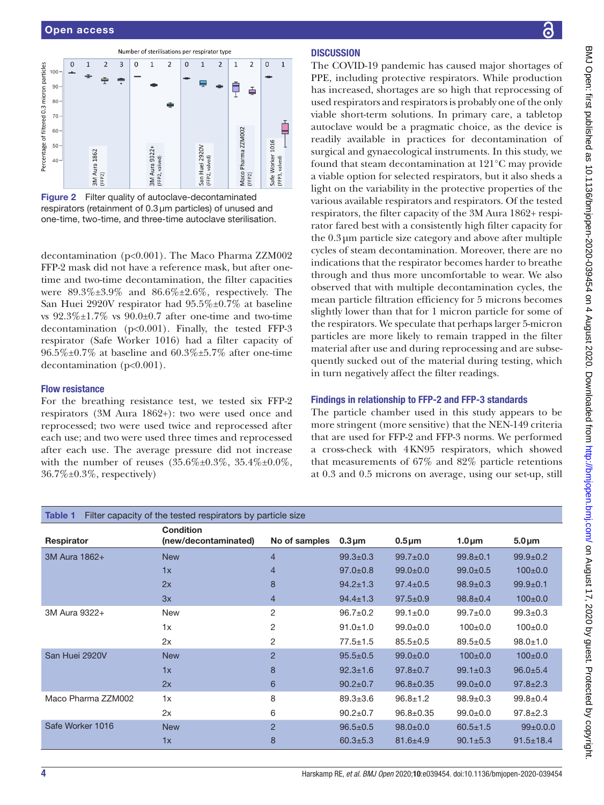

<span id="page-4-0"></span>Figure 2 Filter quality of autoclave-decontaminated respirators (retainment of 0.3µm particles) of unused and one-time, two-time, and three-time autoclave sterilisation.

decontamination (p<0.001). The Maco Pharma ZZM002 FFP-2 mask did not have a reference mask, but after onetime and two-time decontamination, the filter capacities were  $89.3\% \pm 3.9\%$  and  $86.6\% \pm 2.6\%$ , respectively. The San Huei 2920V respirator had 95.5%±0.7% at baseline vs  $92.3\% \pm 1.7\%$  vs  $90.0 \pm 0.7$  after one-time and two-time decontamination (p<0.001). Finally, the tested FFP-3 respirator (Safe Worker 1016) had a filter capacity of 96.5%±0.7% at baseline and 60.3%±5.7% after one-time decontamination (p<0.001).

#### Flow resistance

For the breathing resistance test, we tested six FFP-2 respirators (3M Aura 1862+): two were used once and reprocessed; two were used twice and reprocessed after each use; and two were used three times and reprocessed after each use. The average pressure did not increase with the number of reuses  $(35.6\% \pm 0.3\%, 35.4\% \pm 0.0\%,$ 36.7%±0.3%, respectively)

## **DISCUSSION**

The COVID-19 pandemic has caused major shortages of PPE, including protective respirators. While production has increased, shortages are so high that reprocessing of used respirators and respirators is probably one of the only viable short-term solutions. In primary care, a tabletop autoclave would be a pragmatic choice, as the device is readily available in practices for decontamination of surgical and gynaecological instruments. In this study, we found that steam decontamination at 121°C may provide a viable option for selected respirators, but it also sheds a light on the variability in the protective properties of the various available respirators and respirators. Of the tested respirators, the filter capacity of the 3M Aura 1862+ respirator fared best with a consistently high filter capacity for the 0.3µm particle size category and above after multiple cycles of steam decontamination. Moreover, there are no indications that the respirator becomes harder to breathe through and thus more uncomfortable to wear. We also observed that with multiple decontamination cycles, the mean particle filtration efficiency for 5 microns becomes slightly lower than that for 1 micron particle for some of the respirators. We speculate that perhaps larger 5-micron particles are more likely to remain trapped in the filter material after use and during reprocessing and are subsequently sucked out of the material during testing, which in turn negatively affect the filter readings.

#### Findings in relationship to FFP-2 and FFP-3 standards

The particle chamber used in this study appears to be more stringent (more sensitive) that the NEN-149 criteria that are used for FFP-2 and FFP-3 norms. We performed a cross-check with 4KN95 respirators, which showed that measurements of 67% and 82% particle retentions at 0.3 and 0.5 microns on average, using our set-up, still

<span id="page-4-1"></span>

| Filter capacity of the tested respirators by particle size<br>Table 1 |                                   |                |                |                 |                |                 |
|-----------------------------------------------------------------------|-----------------------------------|----------------|----------------|-----------------|----------------|-----------------|
| Respirator                                                            | Condition<br>(new/decontaminated) | No of samples  | $0.3 \mu m$    | $0.5 \mu m$     | $1.0 \mu m$    | $5.0 \mu m$     |
| 3M Aura 1862+                                                         | <b>New</b>                        | $\overline{4}$ | $99.3 \pm 0.3$ | $99.7 \pm 0.0$  | $99.8 \pm 0.1$ | $99.9 \pm 0.2$  |
|                                                                       | 1x                                | 4              | $97.0 \pm 0.8$ | $99.0 \pm 0.0$  | $99.0 \pm 0.5$ | $100 \pm 0.0$   |
|                                                                       | 2x                                | 8              | $94.2 \pm 1.3$ | $97.4 \pm 0.5$  | $98.9 \pm 0.3$ | $99.9 + 0.1$    |
|                                                                       | 3x                                | 4              | $94.4 \pm 1.3$ | $97.5 \pm 0.9$  | $98.8 \pm 0.4$ | $100 \pm 0.0$   |
| 3M Aura 9322+                                                         | <b>New</b>                        | 2              | $96.7 \pm 0.2$ | $99.1 \pm 0.0$  | $99.7 \pm 0.0$ | $99.3 \pm 0.3$  |
|                                                                       | 1x                                | 2              | $91.0 + 1.0$   | $99.0 \pm 0.0$  | $100 \pm 0.0$  | $100 \pm 0.0$   |
|                                                                       | 2x                                | 2              | $77.5 \pm 1.5$ | $85.5 \pm 0.5$  | $89.5 \pm 0.5$ | $98.0 + 1.0$    |
| San Huei 2920V                                                        | <b>New</b>                        | $\overline{2}$ | $95.5 \pm 0.5$ | $99.0 \pm 0.0$  | $100 \pm 0.0$  | $100 \pm 0.0$   |
|                                                                       | 1x                                | 8              | $92.3 \pm 1.6$ | $97.8 \pm 0.7$  | $99.1 \pm 0.3$ | $96.0 + 5.4$    |
|                                                                       | 2x                                | 6              | $90.2 \pm 0.7$ | $96.8 \pm 0.35$ | $99.0 \pm 0.0$ | $97.8 \pm 2.3$  |
| Maco Pharma ZZM002                                                    | 1x                                | 8              | $89.3 \pm 3.6$ | $96.8 \pm 1.2$  | $98.9 \pm 0.3$ | $99.8 \pm 0.4$  |
|                                                                       | 2x                                | 6              | $90.2 \pm 0.7$ | $96.8 \pm 0.35$ | $99.0 \pm 0.0$ | $97.8 \pm 2.3$  |
| Safe Worker 1016                                                      | <b>New</b>                        | $\overline{2}$ | $96.5 \pm 0.5$ | $98.0 \pm 0.0$  | $60.5 \pm 1.5$ | $99 \pm 0.00$   |
|                                                                       | 1x                                | 8              | $60.3 + 5.3$   | $81.6 \pm 4.9$  | $90.1 \pm 5.3$ | $91.5 \pm 18.4$ |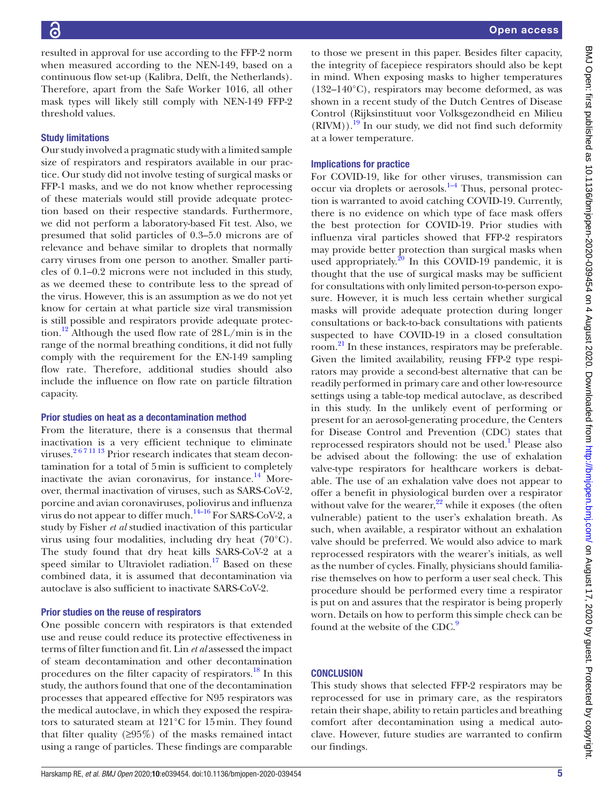resulted in approval for use according to the FFP-2 norm when measured according to the NEN-149, based on a continuous flow set-up (Kalibra, Delft, the Netherlands). Therefore, apart from the Safe Worker 1016, all other mask types will likely still comply with NEN-149 FFP-2 threshold values.

## Study limitations

Our study involved a pragmatic study with a limited sample size of respirators and respirators available in our practice. Our study did not involve testing of surgical masks or FFP-1 masks, and we do not know whether reprocessing of these materials would still provide adequate protection based on their respective standards. Furthermore, we did not perform a laboratory-based Fit test. Also, we presumed that solid particles of 0.3–5.0 microns are of relevance and behave similar to droplets that normally carry viruses from one person to another. Smaller particles of 0.1–0.2 microns were not included in this study, as we deemed these to contribute less to the spread of the virus. However, this is an assumption as we do not yet know for certain at what particle size viral transmission is still possible and respirators provide adequate protection.<sup>12</sup> Although the used flow rate of  $28L/min$  is in the range of the normal breathing conditions, it did not fully comply with the requirement for the EN-149 sampling flow rate. Therefore, additional studies should also include the influence on flow rate on particle filtration capacity.

## Prior studies on heat as a decontamination method

From the literature, there is a consensus that thermal inactivation is a very efficient technique to eliminate viruses.<sup>2671113</sup> Prior research indicates that steam decontamination for a total of 5min is sufficient to completely inactivate the avian coronavirus, for instance. $^{14}$  $^{14}$  $^{14}$  Moreover, thermal inactivation of viruses, such as SARS-CoV-2, porcine and avian coronaviruses, poliovirus and influenza virus do not appear to differ much. $14-16$  For SARS-CoV-2, a study by Fisher *et al* studied inactivation of this particular virus using four modalities, including dry heat (70°C). The study found that dry heat kills SARS-CoV-2 at a speed similar to Ultraviolet radiation.<sup>17</sup> Based on these combined data, it is assumed that decontamination via autoclave is also sufficient to inactivate SARS-CoV-2.

## Prior studies on the reuse of respirators

One possible concern with respirators is that extended use and reuse could reduce its protective effectiveness in terms of filter function and fit. Lin *et al* assessed the impact of steam decontamination and other decontamination procedures on the filter capacity of respirators.<sup>18</sup> In this study, the authors found that one of the decontamination processes that appeared effective for N95 respirators was the medical autoclave, in which they exposed the respirators to saturated steam at 121°C for 15min. They found that filter quality  $(295%)$  of the masks remained intact using a range of particles. These findings are comparable

to those we present in this paper. Besides filter capacity, the integrity of facepiece respirators should also be kept in mind. When exposing masks to higher temperatures (132–140°C), respirators may become deformed, as was shown in a recent study of the Dutch Centres of Disease Control (Rijksinstituut voor Volksgezondheid en Milieu  $(RIVM)$ .<sup>19</sup> In our study, we did not find such deformity at a lower temperature.

## Implications for practice

For COVID-19, like for other viruses, transmission can occur via droplets or aerosols. $1-4$  Thus, personal protection is warranted to avoid catching COVID-19. Currently, there is no evidence on which type of face mask offers the best protection for COVID-19. Prior studies with influenza viral particles showed that FFP-2 respirators may provide better protection than surgical masks when used appropriately. $^{20}$  In this COVID-19 pandemic, it is thought that the use of surgical masks may be sufficient for consultations with only limited person-to-person exposure. However, it is much less certain whether surgical masks will provide adequate protection during longer consultations or back-to-back consultations with patients suspected to have COVID-19 in a closed consultation room.<sup>21</sup> In these instances, respirators may be preferable. Given the limited availability, reusing FFP-2 type respirators may provide a second-best alternative that can be readily performed in primary care and other low-resource settings using a table-top medical autoclave, as described in this study. In the unlikely event of performing or present for an aerosol-generating procedure, the Centers for Disease Control and Prevention (CDC) states that reprocessed respirators should not be used.<sup>[1](#page-6-0)</sup> Please also be advised about the following: the use of exhalation valve-type respirators for healthcare workers is debatable. The use of an exhalation valve does not appear to offer a benefit in physiological burden over a respirator without valve for the wearer, $2^2$  while it exposes (the often vulnerable) patient to the user's exhalation breath. As such, when available, a respirator without an exhalation valve should be preferred. We would also advice to mark reprocessed respirators with the wearer's initials, as well as the number of cycles. Finally, physicians should familiarise themselves on how to perform a user seal check. This procedure should be performed every time a respirator is put on and assures that the respirator is being properly worn. Details on how to perform this simple check can be found at the website of the CDC.<sup>9</sup>

## **CONCLUSION**

This study shows that selected FFP-2 respirators may be reprocessed for use in primary care, as the respirators retain their shape, ability to retain particles and breathing comfort after decontamination using a medical autoclave. However, future studies are warranted to confirm our findings.